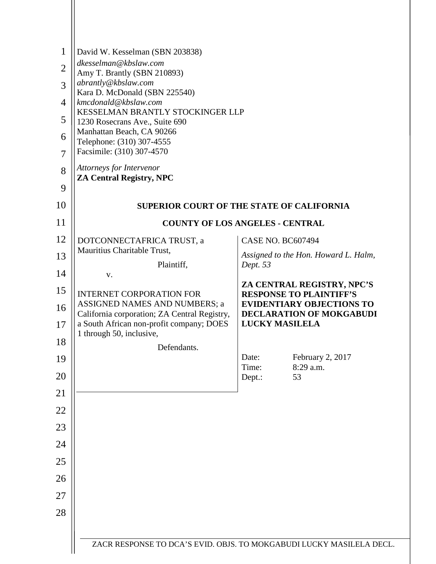| $\mathbf{1}$<br>$\overline{2}$<br>3<br>$\overline{4}$<br>5<br>6<br>$\overline{7}$<br>8 | David W. Kesselman (SBN 203838)<br>dkesselman@kbslaw.com<br>Amy T. Brantly (SBN 210893)<br>abrantly@kbslaw.com<br>Kara D. McDonald (SBN 225540)<br>kmcdonald@kbslaw.com<br>KESSELMAN BRANTLY STOCKINGER LLP<br>1230 Rosecrans Ave., Suite 690<br>Manhattan Beach, CA 90266<br>Telephone: (310) 307-4555<br>Facsimile: (310) 307-4570<br>Attorneys for Intervenor<br><b>ZA Central Registry, NPC</b> |                                                                                       |                               |  |
|----------------------------------------------------------------------------------------|-----------------------------------------------------------------------------------------------------------------------------------------------------------------------------------------------------------------------------------------------------------------------------------------------------------------------------------------------------------------------------------------------------|---------------------------------------------------------------------------------------|-------------------------------|--|
| 9<br>10                                                                                | <b>SUPERIOR COURT OF THE STATE OF CALIFORNIA</b>                                                                                                                                                                                                                                                                                                                                                    |                                                                                       |                               |  |
| 11                                                                                     | <b>COUNTY OF LOS ANGELES - CENTRAL</b>                                                                                                                                                                                                                                                                                                                                                              |                                                                                       |                               |  |
| 12                                                                                     | DOTCONNECTAFRICA TRUST, a                                                                                                                                                                                                                                                                                                                                                                           | <b>CASE NO. BC607494</b>                                                              |                               |  |
| 13                                                                                     | Mauritius Charitable Trust,                                                                                                                                                                                                                                                                                                                                                                         | Assigned to the Hon. Howard L. Halm,                                                  |                               |  |
| 14                                                                                     | Plaintiff,<br>V.                                                                                                                                                                                                                                                                                                                                                                                    | Dept. 53                                                                              |                               |  |
| 15                                                                                     | <b>INTERNET CORPORATION FOR</b>                                                                                                                                                                                                                                                                                                                                                                     | ZA CENTRAL REGISTRY, NPC'S<br><b>RESPONSE TO PLAINTIFF'S</b>                          |                               |  |
| 16<br>17                                                                               | <b>ASSIGNED NAMES AND NUMBERS; a</b><br>California corporation; ZA Central Registry,<br>a South African non-profit company; DOES<br>1 through 50, inclusive,                                                                                                                                                                                                                                        | <b>EVIDENTIARY OBJECTIONS TO</b><br>DECLARATION OF MOKGABUDI<br><b>LUCKY MASILELA</b> |                               |  |
| 18                                                                                     | Defendants.                                                                                                                                                                                                                                                                                                                                                                                         |                                                                                       |                               |  |
| 19                                                                                     |                                                                                                                                                                                                                                                                                                                                                                                                     | Date:<br>Time:                                                                        | February 2, 2017<br>8:29 a.m. |  |
| 20                                                                                     |                                                                                                                                                                                                                                                                                                                                                                                                     | Dept.:                                                                                | 53                            |  |
| 21                                                                                     |                                                                                                                                                                                                                                                                                                                                                                                                     |                                                                                       |                               |  |
| 22                                                                                     |                                                                                                                                                                                                                                                                                                                                                                                                     |                                                                                       |                               |  |
| 23                                                                                     |                                                                                                                                                                                                                                                                                                                                                                                                     |                                                                                       |                               |  |
| 24                                                                                     |                                                                                                                                                                                                                                                                                                                                                                                                     |                                                                                       |                               |  |
| 25                                                                                     |                                                                                                                                                                                                                                                                                                                                                                                                     |                                                                                       |                               |  |
| 26                                                                                     |                                                                                                                                                                                                                                                                                                                                                                                                     |                                                                                       |                               |  |
| 27                                                                                     |                                                                                                                                                                                                                                                                                                                                                                                                     |                                                                                       |                               |  |
| 28                                                                                     |                                                                                                                                                                                                                                                                                                                                                                                                     |                                                                                       |                               |  |
|                                                                                        |                                                                                                                                                                                                                                                                                                                                                                                                     |                                                                                       |                               |  |
|                                                                                        | ZACR RESPONSE TO DCA'S EVID. OBJS. TO MOKGABUDI LUCKY MASILELA DECL.                                                                                                                                                                                                                                                                                                                                |                                                                                       |                               |  |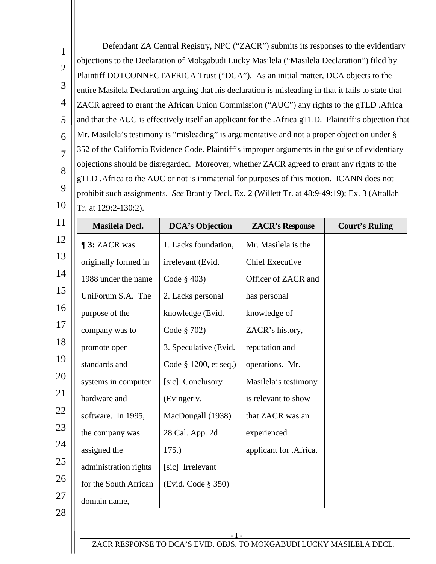1 2 3 4 5 6 7 8 9 10 Defendant ZA Central Registry, NPC ("ZACR") submits its responses to the evidentiary objections to the Declaration of Mokgabudi Lucky Masilela ("Masilela Declaration") filed by Plaintiff DOTCONNECTAFRICA Trust ("DCA"). As an initial matter, DCA objects to the entire Masilela Declaration arguing that his declaration is misleading in that it fails to state that ZACR agreed to grant the African Union Commission ("AUC") any rights to the gTLD .Africa and that the AUC is effectively itself an applicant for the .Africa gTLD. Plaintiff's objection that Mr. Masilela's testimony is "misleading" is argumentative and not a proper objection under § 352 of the California Evidence Code. Plaintiff's improper arguments in the guise of evidentiary objections should be disregarded. Moreover, whether ZACR agreed to grant any rights to the gTLD .Africa to the AUC or not is immaterial for purposes of this motion. ICANN does not prohibit such assignments. *See* Brantly Decl. Ex. 2 (Willett Tr. at 48:9-49:19); Ex. 3 (Attallah Tr. at 129:2-130:2).

| 11 | <b>Masilela Decl.</b> | <b>DCA's Objection</b> | <b>ZACR's Response</b> | <b>Court's Ruling</b> |
|----|-----------------------|------------------------|------------------------|-----------------------|
| 12 | <b>13: ZACR was</b>   | 1. Lacks foundation,   | Mr. Masilela is the    |                       |
| 13 | originally formed in  | irrelevant (Evid.      | <b>Chief Executive</b> |                       |
| 14 | 1988 under the name   | Code $§$ 403)          | Officer of ZACR and    |                       |
| 15 | UniForum S.A. The     | 2. Lacks personal      | has personal           |                       |
| 16 | purpose of the        | knowledge (Evid.       | knowledge of           |                       |
| 17 | company was to        | Code § 702)            | ZACR's history,        |                       |
| 18 | promote open          | 3. Speculative (Evid.  | reputation and         |                       |
| 19 | standards and         | Code § 1200, et seq.)  | operations. Mr.        |                       |
| 20 | systems in computer   | [sic] Conclusory       | Masilela's testimony   |                       |
| 21 | hardware and          | (Evinger v.            | is relevant to show    |                       |
| 22 | software. In 1995,    | MacDougall (1938)      | that ZACR was an       |                       |
| 23 | the company was       | 28 Cal. App. 2d        | experienced            |                       |
| 24 | assigned the          | 175.                   | applicant for .Africa. |                       |
| 25 | administration rights | [sic] Irrelevant       |                        |                       |
| 26 | for the South African | (Evid. Code § 350)     |                        |                       |
| 27 | domain name,          |                        |                        |                       |
| 28 |                       |                        |                        |                       |

28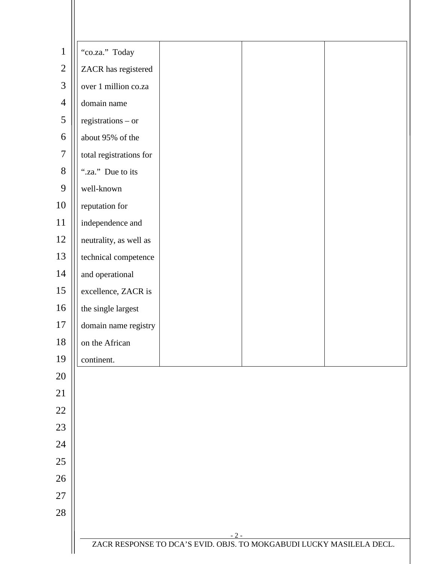| $\mathbf{1}$   | "co.za." Today                                                       |  |
|----------------|----------------------------------------------------------------------|--|
| $\overline{2}$ | ZACR has registered                                                  |  |
| 3              | over 1 million co.za                                                 |  |
| $\overline{4}$ | domain name                                                          |  |
| $\mathfrak{S}$ | $registrations - or$                                                 |  |
| 6              | about 95% of the                                                     |  |
| $\tau$         | total registrations for                                              |  |
| 8              | ".za." Due to its                                                    |  |
| 9              | well-known                                                           |  |
| 10             | reputation for                                                       |  |
| 11             | independence and                                                     |  |
| 12             | neutrality, as well as                                               |  |
| 13             | technical competence                                                 |  |
| 14             | and operational                                                      |  |
| 15             | excellence, ZACR is                                                  |  |
| 16             | the single largest                                                   |  |
| 17             | domain name registry                                                 |  |
| 18             | on the African                                                       |  |
| 19             | continent.                                                           |  |
| 20             |                                                                      |  |
| 21             |                                                                      |  |
| 22             |                                                                      |  |
| 23             |                                                                      |  |
| 24             |                                                                      |  |
| $25\,$         |                                                                      |  |
| $26\,$         |                                                                      |  |
| 27             |                                                                      |  |
| 28             |                                                                      |  |
|                | $-2-$                                                                |  |
|                | ZACR RESPONSE TO DCA'S EVID. OBJS. TO MOKGABUDI LUCKY MASILELA DECL. |  |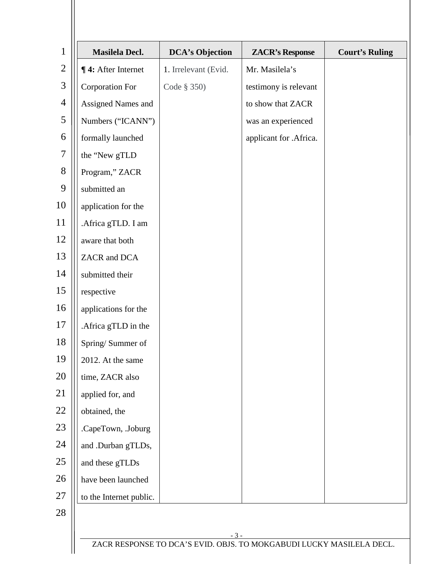| Masilela Decl.          | <b>DCA's Objection</b> | <b>ZACR's Response</b> | <b>Court's Ruling</b> |
|-------------------------|------------------------|------------------------|-----------------------|
| $\P$ 4: After Internet  | 1. Irrelevant (Evid.   | Mr. Masilela's         |                       |
| Corporation For         | Code § 350)            | testimony is relevant  |                       |
| Assigned Names and      |                        | to show that ZACR      |                       |
| Numbers ("ICANN")       |                        | was an experienced     |                       |
| formally launched       |                        | applicant for .Africa. |                       |
| the "New gTLD           |                        |                        |                       |
| Program," ZACR          |                        |                        |                       |
| submitted an            |                        |                        |                       |
| application for the     |                        |                        |                       |
| .Africa gTLD. I am      |                        |                        |                       |
| aware that both         |                        |                        |                       |
| ZACR and DCA            |                        |                        |                       |
| submitted their         |                        |                        |                       |
| respective              |                        |                        |                       |
| applications for the    |                        |                        |                       |
| .Africa gTLD in the     |                        |                        |                       |
| Spring/Summer of        |                        |                        |                       |
| 2012. At the same       |                        |                        |                       |
| time, ZACR also         |                        |                        |                       |
| applied for, and        |                        |                        |                       |
| obtained, the           |                        |                        |                       |
| .CapeTown, .Joburg      |                        |                        |                       |
| and .Durban gTLDs,      |                        |                        |                       |
| and these gTLDs         |                        |                        |                       |
| have been launched      |                        |                        |                       |
| to the Internet public. |                        |                        |                       |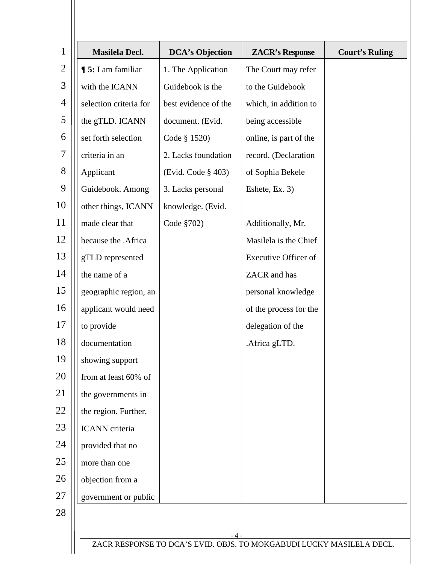| $\mathbf{1}$   | Masilela Decl.         | <b>DCA's Objection</b> | <b>ZACR's Response</b>      | <b>Court's Ruling</b> |
|----------------|------------------------|------------------------|-----------------------------|-----------------------|
| $\overline{2}$ | $\P$ 5: I am familiar  | 1. The Application     | The Court may refer         |                       |
| 3              | with the ICANN         | Guidebook is the       | to the Guidebook            |                       |
| $\overline{4}$ | selection criteria for | best evidence of the   | which, in addition to       |                       |
| 5              | the gTLD. ICANN        | document. (Evid.       | being accessible            |                       |
| 6              | set forth selection    | Code § 1520)           | online, is part of the      |                       |
| 7              | criteria in an         | 2. Lacks foundation    | record. (Declaration        |                       |
| 8              | Applicant              | (Evid. Code § 403)     | of Sophia Bekele            |                       |
| 9              | Guidebook. Among       | 3. Lacks personal      | Eshete, Ex. 3)              |                       |
| 10             | other things, ICANN    | knowledge. (Evid.      |                             |                       |
| 11             | made clear that        | Code §702)             | Additionally, Mr.           |                       |
| 12             | because the .Africa    |                        | Masilela is the Chief       |                       |
| 13             | gTLD represented       |                        | <b>Executive Officer of</b> |                       |
| 14             | the name of a          |                        | ZACR and has                |                       |
| 15             | geographic region, an  |                        | personal knowledge          |                       |
| 16             | applicant would need   |                        | of the process for the      |                       |
| 17             | to provide             |                        | delegation of the           |                       |
| 18             | documentation          |                        | .Africa gLTD.               |                       |
| 19             | showing support        |                        |                             |                       |
| 20             | from at least 60% of   |                        |                             |                       |
| 21             | the governments in     |                        |                             |                       |
| 22             | the region. Further,   |                        |                             |                       |
| 23             | ICANN criteria         |                        |                             |                       |
| 24             | provided that no       |                        |                             |                       |
| 25             | more than one          |                        |                             |                       |
| 26             | objection from a       |                        |                             |                       |
| 27             | government or public   |                        |                             |                       |
| 28             |                        |                        |                             |                       |

- 4 -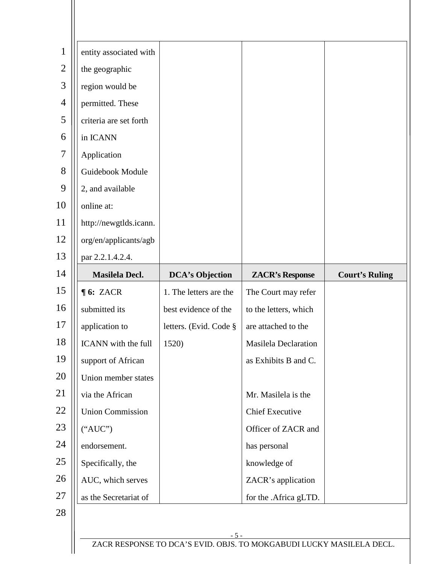| $\mathbf{1}$                           | entity associated with  |                        |                             |                       |
|----------------------------------------|-------------------------|------------------------|-----------------------------|-----------------------|
| $\overline{2}$                         | the geographic          |                        |                             |                       |
| 3                                      | region would be         |                        |                             |                       |
| $\overline{4}$                         | permitted. These        |                        |                             |                       |
| 5                                      | criteria are set forth  |                        |                             |                       |
| 6                                      | in ICANN                |                        |                             |                       |
| 7                                      | Application             |                        |                             |                       |
| 8                                      | Guidebook Module        |                        |                             |                       |
| 9                                      | 2, and available        |                        |                             |                       |
| 10                                     | online at:              |                        |                             |                       |
| 11                                     | http://newgtlds.icann.  |                        |                             |                       |
| 12                                     | org/en/applicants/agb   |                        |                             |                       |
| 13                                     | par 2.2.1.4.2.4.        |                        |                             |                       |
|                                        |                         |                        |                             |                       |
| 14                                     | <b>Masilela Decl.</b>   | <b>DCA's Objection</b> | <b>ZACR's Response</b>      | <b>Court's Ruling</b> |
| 15                                     | $\P 6: ZACR$            | 1. The letters are the | The Court may refer         |                       |
| 16                                     | submitted its           | best evidence of the   | to the letters, which       |                       |
| 17                                     | application to          | letters. (Evid. Code § | are attached to the         |                       |
| 18                                     | ICANN with the full     | 1520)                  | <b>Masilela Declaration</b> |                       |
|                                        | support of African      |                        | as Exhibits B and C.        |                       |
|                                        | Union member states     |                        |                             |                       |
|                                        | via the African         |                        | Mr. Masilela is the         |                       |
|                                        | <b>Union Commission</b> |                        | <b>Chief Executive</b>      |                       |
|                                        | ("AUC")                 |                        | Officer of ZACR and         |                       |
|                                        | endorsement.            |                        | has personal                |                       |
| 19<br>20<br>21<br>22<br>23<br>24<br>25 | Specifically, the       |                        | knowledge of                |                       |
| 26                                     | AUC, which serves       |                        | ZACR's application          |                       |
| 27                                     | as the Secretariat of   |                        | for the .Africa gLTD.       |                       |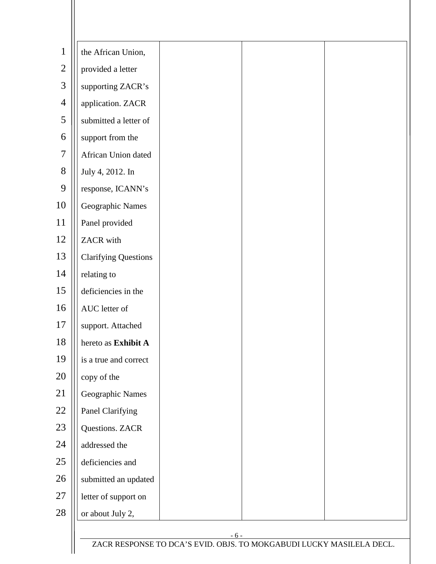| $\mathbf{1}$   | the African Union,          |       |  |
|----------------|-----------------------------|-------|--|
| $\overline{2}$ | provided a letter           |       |  |
| 3              | supporting ZACR's           |       |  |
| $\overline{4}$ | application. ZACR           |       |  |
| 5              | submitted a letter of       |       |  |
| 6              | support from the            |       |  |
| $\overline{7}$ | African Union dated         |       |  |
| 8              | July 4, 2012. In            |       |  |
| 9              | response, ICANN's           |       |  |
| 10             | Geographic Names            |       |  |
| 11             | Panel provided              |       |  |
| 12             | ZACR with                   |       |  |
| 13             | <b>Clarifying Questions</b> |       |  |
| 14             | relating to                 |       |  |
| 15             | deficiencies in the         |       |  |
| 16             | AUC letter of               |       |  |
| 17             | support. Attached           |       |  |
| 18             | hereto as Exhibit A         |       |  |
| 19             | is a true and correct       |       |  |
| 20             | copy of the                 |       |  |
| 21             | Geographic Names            |       |  |
| 22             | Panel Clarifying            |       |  |
| 23             | Questions. ZACR             |       |  |
| 24             | addressed the               |       |  |
| 25             | deficiencies and            |       |  |
| 26             | submitted an updated        |       |  |
| 27             | letter of support on        |       |  |
| 28             | or about July 2,            |       |  |
|                |                             | $-6-$ |  |

 $\mathbb{I}$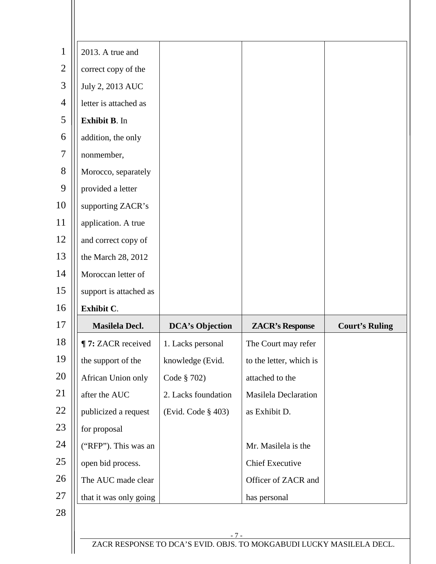| $\mathbf{1}$   | 2013. A true and        |                        |                             |                       |
|----------------|-------------------------|------------------------|-----------------------------|-----------------------|
| $\overline{2}$ | correct copy of the     |                        |                             |                       |
| 3              | July 2, 2013 AUC        |                        |                             |                       |
| $\overline{4}$ | letter is attached as   |                        |                             |                       |
| 5              | Exhibit B. In           |                        |                             |                       |
| 6              | addition, the only      |                        |                             |                       |
| 7              | nonmember,              |                        |                             |                       |
| 8              | Morocco, separately     |                        |                             |                       |
| 9              | provided a letter       |                        |                             |                       |
| 10             | supporting ZACR's       |                        |                             |                       |
| 11             | application. A true     |                        |                             |                       |
| 12             | and correct copy of     |                        |                             |                       |
| 13             | the March 28, 2012      |                        |                             |                       |
| 14             | Moroccan letter of      |                        |                             |                       |
| 15             | support is attached as  |                        |                             |                       |
| 16             | Exhibit C.              |                        |                             |                       |
| 17             | <b>Masilela Decl.</b>   | <b>DCA's Objection</b> | <b>ZACR's Response</b>      | <b>Court's Ruling</b> |
| 18             | <b>T:</b> ZACR received | 1. Lacks personal      | The Court may refer         |                       |
| 19             | the support of the      | knowledge (Evid.       | to the letter, which is     |                       |
| 20             | African Union only      | Code § 702)            | attached to the             |                       |
| 21             | after the AUC           | 2. Lacks foundation    | <b>Masilela Declaration</b> |                       |
| 22             | publicized a request    | (Evid. Code § 403)     | as Exhibit D.               |                       |
| 23             | for proposal            |                        |                             |                       |
| 24             | ("RFP"). This was an    |                        | Mr. Masilela is the         |                       |
| 25             | open bid process.       |                        | <b>Chief Executive</b>      |                       |
| 26             | The AUC made clear      |                        | Officer of ZACR and         |                       |
| 27             | that it was only going  |                        | has personal                |                       |
| 28             |                         |                        |                             |                       |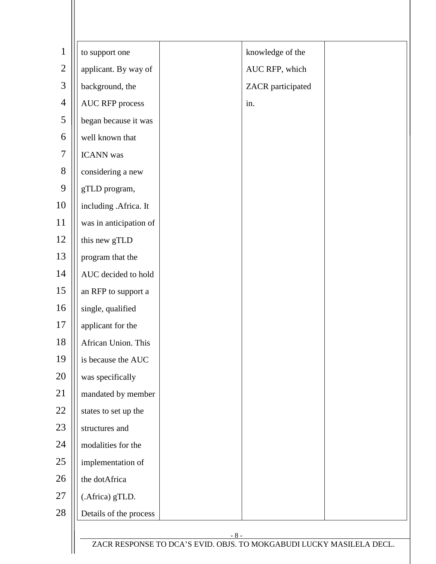| to support one         | knowledge of the  |
|------------------------|-------------------|
| applicant. By way of   | AUC RFP, which    |
| background, the        | ZACR participated |
| <b>AUC RFP process</b> | in.               |
| began because it was   |                   |
| well known that        |                   |
| <b>ICANN</b> was       |                   |
| considering a new      |                   |
| gTLD program,          |                   |
| including .Africa. It  |                   |
| was in anticipation of |                   |
| this new gTLD          |                   |
| program that the       |                   |
| AUC decided to hold    |                   |
| an RFP to support a    |                   |
| single, qualified      |                   |
| applicant for the      |                   |
| African Union. This    |                   |
| is because the AUC     |                   |
| was specifically       |                   |
| mandated by member     |                   |
| states to set up the   |                   |
| structures and         |                   |
| modalities for the     |                   |
| implementation of      |                   |
| the dotAfrica          |                   |
| (.Africa) gTLD.        |                   |
| Details of the process |                   |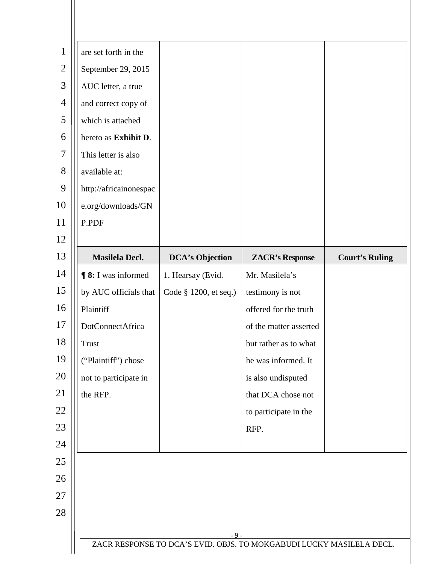|    | are set forth in the      |                        |                        |                       |
|----|---------------------------|------------------------|------------------------|-----------------------|
|    | September 29, 2015        |                        |                        |                       |
|    | AUC letter, a true        |                        |                        |                       |
|    | and correct copy of       |                        |                        |                       |
|    | which is attached         |                        |                        |                       |
|    | hereto as Exhibit D.      |                        |                        |                       |
|    | This letter is also       |                        |                        |                       |
|    | available at:             |                        |                        |                       |
|    | http://africainonespac    |                        |                        |                       |
|    | e.org/downloads/GN        |                        |                        |                       |
|    | P.PDF                     |                        |                        |                       |
| 12 |                           |                        |                        |                       |
|    | Masilela Decl.            | <b>DCA's Objection</b> | <b>ZACR's Response</b> | <b>Court's Ruling</b> |
|    | <b>98:</b> I was informed | 1. Hearsay (Evid.      | Mr. Masilela's         |                       |
|    | by AUC officials that     | Code § 1200, et seq.)  | testimony is not       |                       |
|    | Plaintiff                 |                        | offered for the truth  |                       |
|    | DotConnectAfrica          |                        | of the matter asserted |                       |
|    | <b>Trust</b>              |                        | but rather as to what  |                       |
|    | ("Plaintiff") chose       |                        | he was informed. It    |                       |
|    | not to participate in     |                        | is also undisputed     |                       |
|    | the RFP.                  |                        | that DCA chose not     |                       |
|    |                           |                        | to participate in the  |                       |
|    |                           |                        | RFP.                   |                       |
|    |                           |                        |                        |                       |
|    |                           |                        |                        |                       |
|    |                           |                        |                        |                       |
|    |                           |                        |                        |                       |
|    |                           |                        |                        |                       |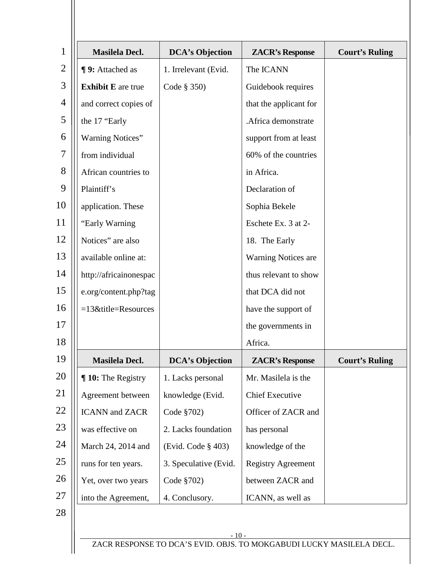| <b>Masilela Decl.</b>        | <b>DCA's Objection</b> | <b>ZACR's Response</b>     | <b>Court's Ruling</b> |
|------------------------------|------------------------|----------------------------|-----------------------|
| ¶ 9: Attached as             | 1. Irrelevant (Evid.   | The ICANN                  |                       |
| <b>Exhibit E</b> are true    | Code § 350)            | Guidebook requires         |                       |
| and correct copies of        |                        | that the applicant for     |                       |
| the 17 "Early                |                        | .Africa demonstrate        |                       |
| Warning Notices"             |                        | support from at least      |                       |
| from individual              |                        | 60% of the countries       |                       |
| African countries to         |                        | in Africa.                 |                       |
| Plaintiff's                  |                        | Declaration of             |                       |
| application. These           |                        | Sophia Bekele              |                       |
| "Early Warning               |                        | Eschete Ex. 3 at 2-        |                       |
| Notices" are also            |                        | 18. The Early              |                       |
| available online at:         |                        | <b>Warning Notices are</b> |                       |
| http://africainonespac       |                        | thus relevant to show      |                       |
| e.org/content.php?tag        |                        | that DCA did not           |                       |
| $=13$ &title=Resources       |                        | have the support of        |                       |
|                              |                        | the governments in         |                       |
|                              |                        | Africa.                    |                       |
| Masilela Decl.               | <b>DCA's Objection</b> | <b>ZACR's Response</b>     | <b>Court's Ruling</b> |
| <b>10:</b> The Registry      | 1. Lacks personal      | Mr. Masilela is the        |                       |
| Agreement between            | knowledge (Evid.       | <b>Chief Executive</b>     |                       |
| <b>ICANN</b> and <b>ZACR</b> | Code §702)             | Officer of ZACR and        |                       |
| was effective on             | 2. Lacks foundation    | has personal               |                       |
| March 24, 2014 and           | (Evid. Code $§$ 403)   | knowledge of the           |                       |
| runs for ten years.          | 3. Speculative (Evid.  | <b>Registry Agreement</b>  |                       |
| Yet, over two years          | Code §702)             | between ZACR and           |                       |
|                              | 4. Conclusory.         | ICANN, as well as          |                       |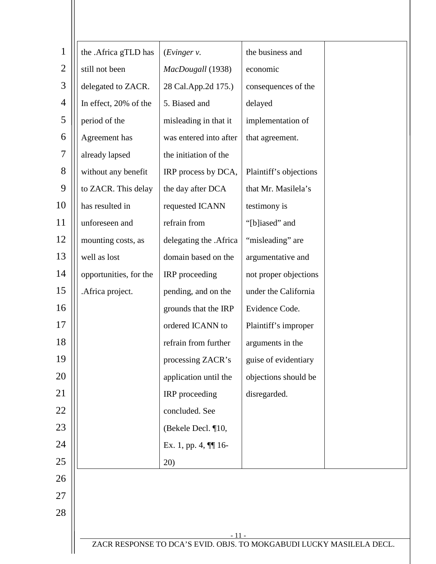| $\mathbf{1}$   | the .Africa gTLD has                                                 | (Evinger v.              | the business and       |  |  |
|----------------|----------------------------------------------------------------------|--------------------------|------------------------|--|--|
| $\overline{2}$ | still not been                                                       | MacDougall (1938)        | economic               |  |  |
| 3              | delegated to ZACR.                                                   | 28 Cal.App.2d 175.)      | consequences of the    |  |  |
| $\overline{4}$ | In effect, 20% of the                                                | 5. Biased and            | delayed                |  |  |
| 5              | period of the                                                        | misleading in that it    | implementation of      |  |  |
| 6              | Agreement has                                                        | was entered into after   | that agreement.        |  |  |
| 7              | already lapsed                                                       | the initiation of the    |                        |  |  |
| 8              | without any benefit                                                  | IRP process by DCA,      | Plaintiff's objections |  |  |
| 9              | to ZACR. This delay                                                  | the day after DCA        | that Mr. Masilela's    |  |  |
| 10             | has resulted in                                                      | requested ICANN          | testimony is           |  |  |
| 11             | unforeseen and                                                       | refrain from             | "[b]iased" and         |  |  |
| 12             | mounting costs, as                                                   | delegating the .Africa   | "misleading" are       |  |  |
| 13             | well as lost                                                         | domain based on the      | argumentative and      |  |  |
| 14             | opportunities, for the                                               | IRP proceeding           | not proper objections  |  |  |
| 15             | .Africa project.                                                     | pending, and on the      | under the California   |  |  |
| 16             |                                                                      | grounds that the IRP     | Evidence Code.         |  |  |
| 17             |                                                                      | ordered ICANN to         | Plaintiff's improper   |  |  |
| 18             |                                                                      | refrain from further     | arguments in the       |  |  |
| 19             |                                                                      | processing ZACR's        | guise of evidentiary   |  |  |
| 20             |                                                                      | application until the    | objections should be   |  |  |
| 21             |                                                                      | IRP proceeding           | disregarded.           |  |  |
| 22             |                                                                      | concluded. See           |                        |  |  |
| 23             |                                                                      | (Bekele Decl. ¶10,       |                        |  |  |
| 24             |                                                                      | Ex. 1, pp. 4, $\P\P$ 16- |                        |  |  |
| 25             |                                                                      | 20)                      |                        |  |  |
| 26             |                                                                      |                          |                        |  |  |
| 27             |                                                                      |                          |                        |  |  |
| 28             |                                                                      |                          |                        |  |  |
|                |                                                                      | $-11-$                   |                        |  |  |
|                | ZACR RESPONSE TO DCA'S EVID. OBJS. TO MOKGABUDI LUCKY MASILELA DECL. |                          |                        |  |  |

 $\mathbf{I}$ 

Ш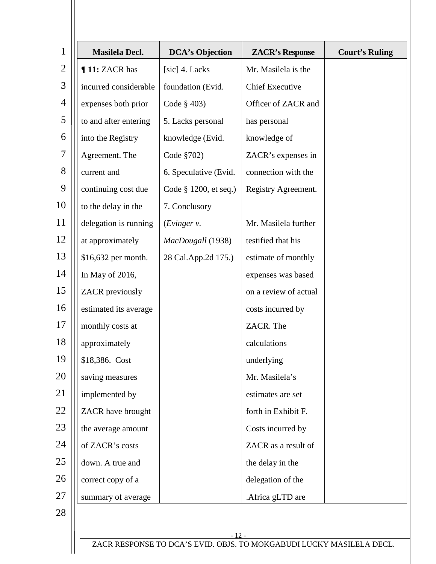| $\mathbf{1}$   | Masilela Decl.         | <b>DCA's Objection</b> | <b>ZACR's Response</b> | <b>Court's Ruling</b> |
|----------------|------------------------|------------------------|------------------------|-----------------------|
| $\overline{2}$ | ¶11: ZACR has          | [sic] 4. Lacks         | Mr. Masilela is the    |                       |
| 3              | incurred considerable  | foundation (Evid.      | <b>Chief Executive</b> |                       |
| $\overline{4}$ | expenses both prior    | Code $\S$ 403)         | Officer of ZACR and    |                       |
| 5              | to and after entering  | 5. Lacks personal      | has personal           |                       |
| 6              | into the Registry      | knowledge (Evid.       | knowledge of           |                       |
| 7              | Agreement. The         | Code §702)             | ZACR's expenses in     |                       |
| 8              | current and            | 6. Speculative (Evid.  | connection with the    |                       |
| 9              | continuing cost due    | Code § 1200, et seq.)  | Registry Agreement.    |                       |
| 10             | to the delay in the    | 7. Conclusory          |                        |                       |
| 11             | delegation is running  | (Evinger v.            | Mr. Masilela further   |                       |
| 12             | at approximately       | MacDougall (1938)      | testified that his     |                       |
| 13             | \$16,632 per month.    | 28 Cal.App.2d 175.)    | estimate of monthly    |                       |
| 14             | In May of 2016,        |                        | expenses was based     |                       |
| 15             | <b>ZACR</b> previously |                        | on a review of actual  |                       |
| 16             | estimated its average  |                        | costs incurred by      |                       |
| 17             | monthly costs at       |                        | ZACR. The              |                       |
| 18             | approximately          |                        | calculations           |                       |
| 19             | \$18,386. Cost         |                        | underlying             |                       |
| 20             | saving measures        |                        | Mr. Masilela's         |                       |
| 21             | implemented by         |                        | estimates are set      |                       |
| 22             | ZACR have brought      |                        | forth in Exhibit F.    |                       |
| 23             | the average amount     |                        | Costs incurred by      |                       |
| 24             | of ZACR's costs        |                        | ZACR as a result of    |                       |
| 25             | down. A true and       |                        | the delay in the       |                       |
| 26             | correct copy of a      |                        | delegation of the      |                       |
| 27             | summary of average     |                        | .Africa gLTD are       |                       |
| 28             |                        |                        |                        |                       |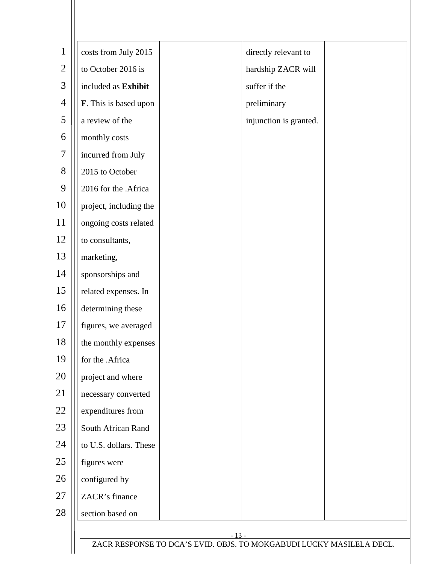| $\mathbf{1}$   | costs from July 2015   | directly relevant to   |
|----------------|------------------------|------------------------|
| $\overline{2}$ | to October 2016 is     | hardship ZACR will     |
| 3              | included as Exhibit    | suffer if the          |
| 4              | F. This is based upon  | preliminary            |
| 5              | a review of the        | injunction is granted. |
| 6              | monthly costs          |                        |
| 7              | incurred from July     |                        |
| 8              | 2015 to October        |                        |
| 9              | 2016 for the .Africa   |                        |
| 10             | project, including the |                        |
| 11             | ongoing costs related  |                        |
| 12             | to consultants,        |                        |
| 13             | marketing,             |                        |
| 14             | sponsorships and       |                        |
| 15             | related expenses. In   |                        |
| 16             | determining these      |                        |
| 17             | figures, we averaged   |                        |
| 18             | the monthly expenses   |                        |
| 19             | for the .Africa        |                        |
| 20             | project and where      |                        |
| 21             | necessary converted    |                        |
| 22             | expenditures from      |                        |
| 23             | South African Rand     |                        |
| 24             | to U.S. dollars. These |                        |
| 25             | figures were           |                        |
| 26             | configured by          |                        |
| 27             | ZACR's finance         |                        |
| 28             | section based on       |                        |
|                |                        | $-13-$                 |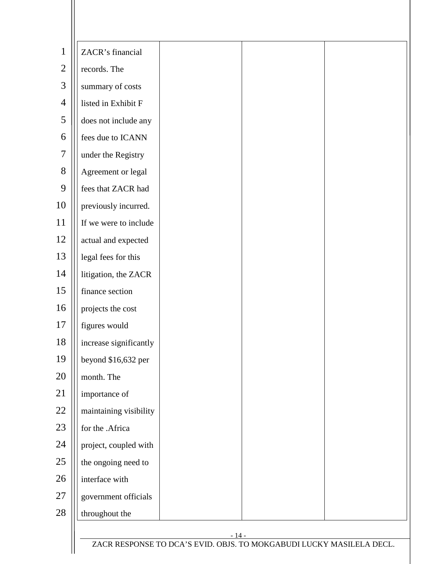| $\mathbf{1}$   | ZACR's financial       |        |  |
|----------------|------------------------|--------|--|
| $\overline{2}$ | records. The           |        |  |
| 3              | summary of costs       |        |  |
| $\overline{4}$ | listed in Exhibit F    |        |  |
| 5              | does not include any   |        |  |
| 6              | fees due to ICANN      |        |  |
| $\overline{7}$ | under the Registry     |        |  |
| 8              | Agreement or legal     |        |  |
| 9              | fees that ZACR had     |        |  |
| 10             | previously incurred.   |        |  |
| 11             | If we were to include  |        |  |
| 12             | actual and expected    |        |  |
| 13             | legal fees for this    |        |  |
| 14             | litigation, the ZACR   |        |  |
| 15             | finance section        |        |  |
| 16             | projects the cost      |        |  |
| 17             | figures would          |        |  |
| 18             | increase significantly |        |  |
| 19             | beyond \$16,632 per    |        |  |
| 20             | month. The             |        |  |
| 21             | importance of          |        |  |
| 22             | maintaining visibility |        |  |
| 23             | for the .Africa        |        |  |
| 24             | project, coupled with  |        |  |
| 25             | the ongoing need to    |        |  |
| 26             | interface with         |        |  |
| 27             | government officials   |        |  |
| 28             | throughout the         |        |  |
|                |                        | $-14-$ |  |

 $\mathbb{I}$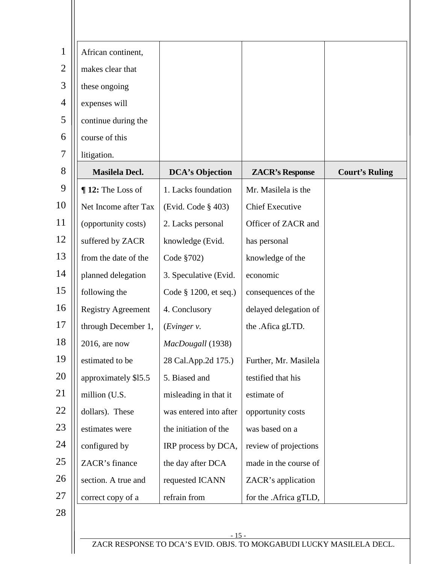| $\mathbf{1}$   | African continent,        |                        |                        |                       |
|----------------|---------------------------|------------------------|------------------------|-----------------------|
| $\overline{2}$ | makes clear that          |                        |                        |                       |
| 3              | these ongoing             |                        |                        |                       |
| $\overline{4}$ | expenses will             |                        |                        |                       |
| 5              | continue during the       |                        |                        |                       |
| 6              | course of this            |                        |                        |                       |
| $\overline{7}$ | litigation.               |                        |                        |                       |
| 8              | <b>Masilela Decl.</b>     | <b>DCA's Objection</b> | <b>ZACR's Response</b> | <b>Court's Ruling</b> |
| 9              | $\P$ 12: The Loss of      | 1. Lacks foundation    | Mr. Masilela is the    |                       |
| 10             | Net Income after Tax      | (Evid. Code $§$ 403)   | <b>Chief Executive</b> |                       |
| 11             | (opportunity costs)       | 2. Lacks personal      | Officer of ZACR and    |                       |
| 12             | suffered by ZACR          | knowledge (Evid.       | has personal           |                       |
| 13             | from the date of the      | Code §702)             | knowledge of the       |                       |
| 14             | planned delegation        | 3. Speculative (Evid.  | economic               |                       |
| 15             | following the             | Code § 1200, et seq.)  | consequences of the    |                       |
| 16             | <b>Registry Agreement</b> | 4. Conclusory          | delayed delegation of  |                       |
| 17             | through December 1,       | (Evinger v.            | the .Afica gLTD.       |                       |
| 18             | $2016$ , are now          | MacDougall (1938)      |                        |                       |
| 19             | estimated to be           | 28 Cal.App.2d 175.)    | Further, Mr. Masilela  |                       |
| 20             | approximately \$15.5      | 5. Biased and          | testified that his     |                       |
| 21             | million (U.S.             | misleading in that it  | estimate of            |                       |
| 22             | dollars). These           | was entered into after | opportunity costs      |                       |
| 23             | estimates were            | the initiation of the  | was based on a         |                       |
| 24             | configured by             | IRP process by DCA,    | review of projections  |                       |
| 25             | ZACR's finance            | the day after DCA      | made in the course of  |                       |
| 26             | section. A true and       | requested ICANN        | ZACR's application     |                       |
| 27             | correct copy of a         | refrain from           | for the .Africa gTLD,  |                       |
| 28             |                           |                        |                        |                       |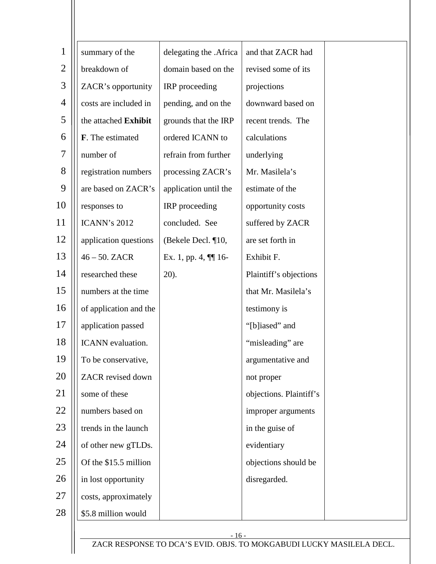| $\mathbf{1}$   | summary of the         | delegating the .Africa | and that ZACR had       |  |
|----------------|------------------------|------------------------|-------------------------|--|
| $\overline{2}$ | breakdown of           | domain based on the    | revised some of its     |  |
| 3              | ZACR's opportunity     | IRP proceeding         | projections             |  |
| $\overline{4}$ | costs are included in  | pending, and on the    | downward based on       |  |
| 5              | the attached Exhibit   | grounds that the IRP   | recent trends. The      |  |
| 6              | F. The estimated       | ordered ICANN to       | calculations            |  |
| $\overline{7}$ | number of              | refrain from further   | underlying              |  |
| 8              | registration numbers   | processing ZACR's      | Mr. Masilela's          |  |
| 9              | are based on ZACR's    | application until the  | estimate of the         |  |
| 10             | responses to           | IRP proceeding         | opportunity costs       |  |
| 11             | ICANN's 2012           | concluded. See         | suffered by ZACR        |  |
| 12             | application questions  | (Bekele Decl. ¶10,     | are set forth in        |  |
| 13             | $46 - 50. ZACR$        | Ex. 1, pp. 4, $\P$ 16- | Exhibit F.              |  |
| 14             | researched these       | $20$ ).                | Plaintiff's objections  |  |
| 15             | numbers at the time    |                        | that Mr. Masilela's     |  |
| 16             | of application and the |                        | testimony is            |  |
| 17             | application passed     |                        | "[b]iased" and          |  |
| 18             | ICANN evaluation.      |                        | "misleading" are        |  |
| 19             | To be conservative,    |                        | argumentative and       |  |
| 20             | ZACR revised down      |                        | not proper              |  |
| 21             | some of these          |                        | objections. Plaintiff's |  |
| 22             | numbers based on       |                        | improper arguments      |  |
| 23             | trends in the launch   |                        | in the guise of         |  |
| 24             | of other new gTLDs.    |                        | evidentiary             |  |
| 25             | Of the \$15.5 million  |                        | objections should be    |  |
| 26             | in lost opportunity    |                        | disregarded.            |  |
| 27             | costs, approximately   |                        |                         |  |
| 28             | \$5.8 million would    |                        |                         |  |
|                |                        |                        |                         |  |

- 16 -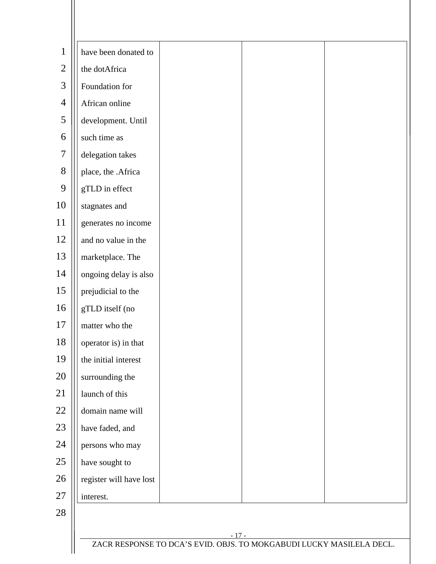| $\mathbf{1}$   | have been donated to    |  |  |
|----------------|-------------------------|--|--|
| $\overline{2}$ | the dotAfrica           |  |  |
| 3              | Foundation for          |  |  |
| 4              | African online          |  |  |
| 5              | development. Until      |  |  |
| 6              | such time as            |  |  |
| 7              | delegation takes        |  |  |
| 8              | place, the .Africa      |  |  |
| 9              | gTLD in effect          |  |  |
| 10             | stagnates and           |  |  |
| 11             | generates no income     |  |  |
| 12             | and no value in the     |  |  |
| 13             | marketplace. The        |  |  |
| 14             | ongoing delay is also   |  |  |
| 15             | prejudicial to the      |  |  |
| 16             | gTLD itself (no         |  |  |
| 17             | matter who the          |  |  |
| 18             | operator is) in that    |  |  |
| 19             | the initial interest    |  |  |
| 20             | surrounding the         |  |  |
| 21             | launch of this          |  |  |
| 22             | domain name will        |  |  |
| 23             | have faded, and         |  |  |
| 24             | persons who may         |  |  |
| 25             | have sought to          |  |  |
| 26             | register will have lost |  |  |
| 27             | interest.               |  |  |
| 28             |                         |  |  |

- 17 -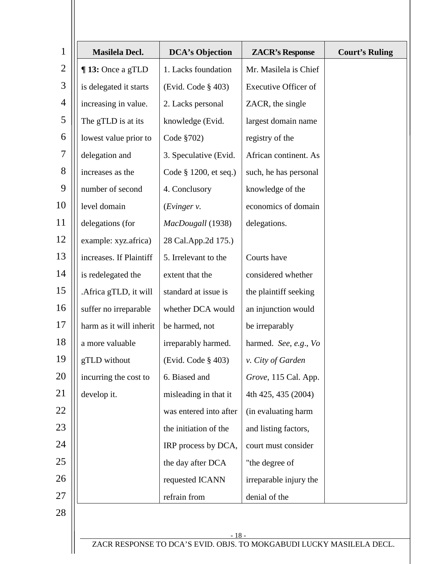|    | Masilela Decl.          | <b>DCA's Objection</b> | <b>ZACR's Response</b>      | <b>Court's Ruling</b> |
|----|-------------------------|------------------------|-----------------------------|-----------------------|
|    | ¶13: Once a gTLD        | 1. Lacks foundation    | Mr. Masilela is Chief       |                       |
|    | is delegated it starts  | (Evid. Code § 403)     | <b>Executive Officer of</b> |                       |
|    | increasing in value.    | 2. Lacks personal      | ZACR, the single            |                       |
|    | The gTLD is at its      | knowledge (Evid.       | largest domain name         |                       |
|    | lowest value prior to   | Code §702)             | registry of the             |                       |
|    | delegation and          | 3. Speculative (Evid.  | African continent. As       |                       |
|    | increases as the        | Code § 1200, et seq.)  | such, he has personal       |                       |
|    | number of second        | 4. Conclusory          | knowledge of the            |                       |
|    | level domain            | (Evinger v.            | economics of domain         |                       |
|    | delegations (for        | MacDougall (1938)      | delegations.                |                       |
|    | example: xyz.africa)    | 28 Cal.App.2d 175.)    |                             |                       |
| 13 | increases. If Plaintiff | 5. Irrelevant to the   | Courts have                 |                       |
|    | is redelegated the      | extent that the        | considered whether          |                       |
|    | .Africa gTLD, it will   | standard at issue is   | the plaintiff seeking       |                       |
|    | suffer no irreparable   | whether DCA would      | an injunction would         |                       |
|    | harm as it will inherit | be harmed, not         | be irreparably              |                       |
|    | a more valuable         | irreparably harmed.    | harmed. See, e.g., Vo       |                       |
|    | gTLD without            | (Evid. Code § 403)     | v. City of Garden           |                       |
|    | incurring the cost to   | 6. Biased and          | Grove, 115 Cal. App.        |                       |
|    | develop it.             | misleading in that it  | 4th 425, 435 (2004)         |                       |
|    |                         | was entered into after | (in evaluating harm         |                       |
|    |                         | the initiation of the  | and listing factors,        |                       |
|    |                         | IRP process by DCA,    | court must consider         |                       |
|    |                         | the day after DCA      | "the degree of              |                       |
|    |                         | requested ICANN        | irreparable injury the      |                       |
|    |                         | refrain from           | denial of the               |                       |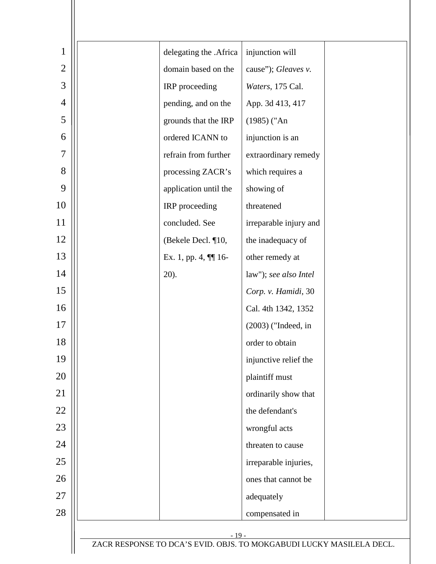|  | delegating the .Africa   | injunction will        |
|--|--------------------------|------------------------|
|  | domain based on the      | cause"); Gleaves v.    |
|  | IRP proceeding           | Waters, 175 Cal.       |
|  | pending, and on the      | App. 3d 413, 417       |
|  | grounds that the IRP     | $(1985)$ ("An          |
|  | ordered ICANN to         | injunction is an       |
|  | refrain from further     | extraordinary remedy   |
|  | processing ZACR's        | which requires a       |
|  | application until the    | showing of             |
|  | IRP proceeding           | threatened             |
|  | concluded. See           | irreparable injury and |
|  | (Bekele Decl. ¶10,       | the inadequacy of      |
|  | Ex. 1, pp. 4, $\P\P$ 16- | other remedy at        |
|  | $20$ ).                  | law"); see also Intel  |
|  |                          | Corp. v. Hamidi, 30    |
|  |                          | Cal. 4th 1342, 1352    |
|  |                          | $(2003)$ ("Indeed, in  |
|  |                          | order to obtain        |
|  |                          | injunctive relief the  |
|  |                          | plaintiff must         |
|  |                          | ordinarily show that   |
|  |                          | the defendant's        |
|  |                          | wrongful acts          |
|  |                          | threaten to cause      |
|  |                          | irreparable injuries,  |
|  |                          | ones that cannot be    |
|  |                          | adequately             |
|  |                          | compensated in         |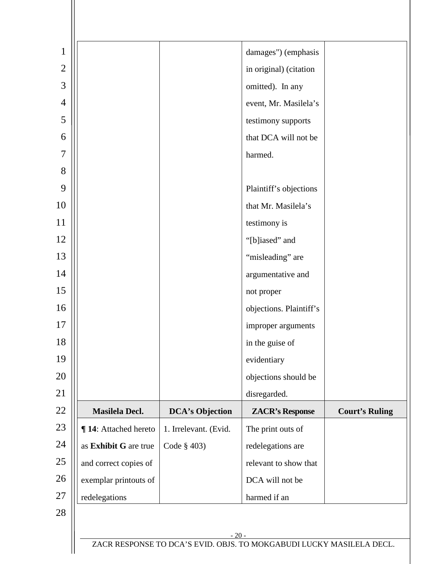| $\mathbf{1}$   |                       |                        | damages") (emphasis     |                       |
|----------------|-----------------------|------------------------|-------------------------|-----------------------|
| $\overline{2}$ |                       |                        | in original) (citation  |                       |
| 3              |                       |                        | omitted). In any        |                       |
| $\overline{4}$ |                       |                        | event, Mr. Masilela's   |                       |
| 5              |                       |                        | testimony supports      |                       |
| 6              |                       |                        | that DCA will not be    |                       |
| $\overline{7}$ |                       |                        | harmed.                 |                       |
| 8              |                       |                        |                         |                       |
| 9              |                       |                        | Plaintiff's objections  |                       |
| 10             |                       |                        | that Mr. Masilela's     |                       |
| 11             |                       |                        | testimony is            |                       |
| 12             |                       |                        | "[b]iased" and          |                       |
| 13             |                       |                        | "misleading" are        |                       |
| 14             |                       |                        | argumentative and       |                       |
| 15             |                       |                        | not proper              |                       |
| 16             |                       |                        | objections. Plaintiff's |                       |
| 17             |                       |                        | improper arguments      |                       |
| 18             |                       |                        | in the guise of         |                       |
| 19             |                       |                        | evidentiary             |                       |
| 20             |                       |                        | objections should be    |                       |
| 21             |                       |                        | disregarded.            |                       |
| 22             | Masilela Decl.        | <b>DCA's Objection</b> | <b>ZACR's Response</b>  | <b>Court's Ruling</b> |
| 23             | ¶ 14: Attached hereto | 1. Irrelevant. (Evid.  | The print outs of       |                       |
| 24             | as Exhibit G are true | Code § 403)            | redelegations are       |                       |
| 25             | and correct copies of |                        | relevant to show that   |                       |
| 26             | exemplar printouts of |                        | DCA will not be         |                       |
| 27             | redelegations         |                        | harmed if an            |                       |
| 28             |                       |                        |                         |                       |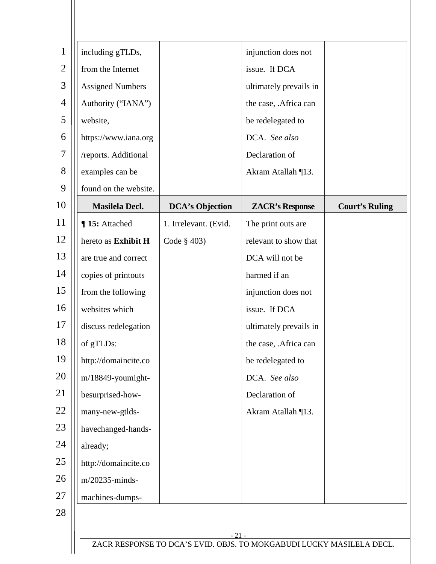| $\mathbf{1}$   | including gTLDs,        |                        | injunction does not    |                       |
|----------------|-------------------------|------------------------|------------------------|-----------------------|
| $\overline{2}$ | from the Internet       |                        | issue. If DCA          |                       |
| 3              | <b>Assigned Numbers</b> |                        | ultimately prevails in |                       |
| $\overline{4}$ | Authority ("IANA")      |                        | the case, .Africa can  |                       |
| 5              | website,                |                        | be redelegated to      |                       |
| 6              | https://www.iana.org    |                        | DCA. See also          |                       |
| 7              | /reports. Additional    |                        | Declaration of         |                       |
| 8              | examples can be         |                        | Akram Atallah ¶13.     |                       |
| 9              | found on the website.   |                        |                        |                       |
| 10             | <b>Masilela Decl.</b>   | <b>DCA's Objection</b> | <b>ZACR's Response</b> | <b>Court's Ruling</b> |
| 11             | <b>¶15:</b> Attached    | 1. Irrelevant. (Evid.  | The print outs are     |                       |
| 12             | hereto as Exhibit H     | Code $\S$ 403)         | relevant to show that  |                       |
| 13             | are true and correct    |                        | DCA will not be        |                       |
| 14             | copies of printouts     |                        | harmed if an           |                       |
| 15             | from the following      |                        | injunction does not    |                       |
| 16             | websites which          |                        | issue. If DCA          |                       |
| 17             | discuss redelegation    |                        | ultimately prevails in |                       |
| 18             | of gTLDs:               |                        | the case, Africa can   |                       |
| 19             | http://domaincite.co    |                        | be redelegated to      |                       |
| 20             | m/18849-youmight-       |                        | DCA. See also          |                       |
| 21             | besurprised-how-        |                        | Declaration of         |                       |
| 22             | many-new-gtlds-         |                        | Akram Atallah ¶13.     |                       |
| 23             | havechanged-hands-      |                        |                        |                       |
| 24             | already;                |                        |                        |                       |
| 25             | http://domaincite.co    |                        |                        |                       |
| 26             | m/20235-minds-          |                        |                        |                       |
| 27             | machines-dumps-         |                        |                        |                       |
| 28             |                         |                        |                        |                       |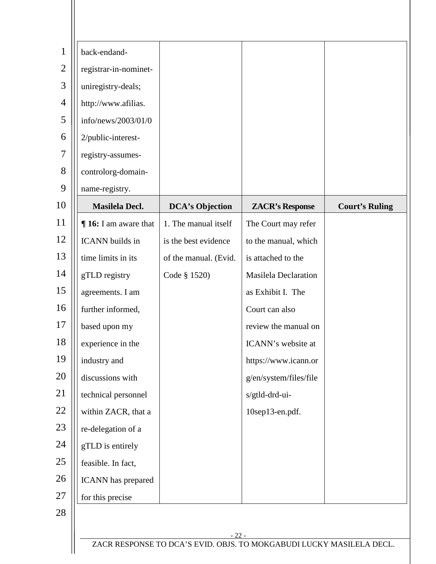| $\mathbf{1}$   | back-endand-              |                        |                             |                       |
|----------------|---------------------------|------------------------|-----------------------------|-----------------------|
| $\overline{2}$ | registrar-in-nominet-     |                        |                             |                       |
| 3              | uniregistry-deals;        |                        |                             |                       |
| $\overline{4}$ | http://www.afilias.       |                        |                             |                       |
| 5              | info/news/2003/01/0       |                        |                             |                       |
| 6              | 2/public-interest-        |                        |                             |                       |
| $\overline{7}$ | registry-assumes-         |                        |                             |                       |
| 8              | controlorg-domain-        |                        |                             |                       |
| 9              | name-registry.            |                        |                             |                       |
| 10             | <b>Masilela Decl.</b>     | <b>DCA's Objection</b> | <b>ZACR's Response</b>      | <b>Court's Ruling</b> |
| 11             | $\P$ 16: I am aware that  | 1. The manual itself   | The Court may refer         |                       |
| 12             | <b>ICANN</b> builds in    | is the best evidence   | to the manual, which        |                       |
| 13             | time limits in its        | of the manual. (Evid.  | is attached to the          |                       |
| 14             | gTLD registry             | Code § 1520)           | <b>Masilela Declaration</b> |                       |
| 15             | agreements. I am          |                        | as Exhibit I. The           |                       |
| 16             | further informed,         |                        | Court can also              |                       |
| 17             | based upon my             |                        | review the manual on        |                       |
| 18             | experience in the         |                        | ICANN's website at          |                       |
| 19             | industry and              |                        | https://www.icann.or        |                       |
| 20             | discussions with          |                        | g/en/system/files/file      |                       |
| 21             | technical personnel       |                        | s/gtld-drd-ui-              |                       |
| 22             | within ZACR, that a       |                        | 10sep13-en.pdf.             |                       |
| 23             | re-delegation of a        |                        |                             |                       |
| 24             | gTLD is entirely          |                        |                             |                       |
| 25             | feasible. In fact,        |                        |                             |                       |
| 26             | <b>ICANN</b> has prepared |                        |                             |                       |
| 27             | for this precise          |                        |                             |                       |
| 28             |                           |                        |                             |                       |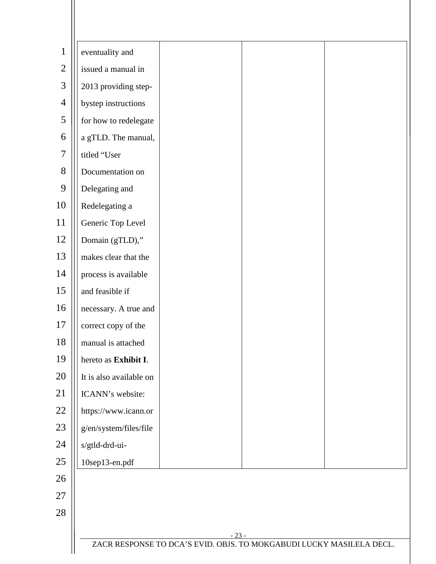| $\mathbf{1}$   | eventuality and                                                      |  |
|----------------|----------------------------------------------------------------------|--|
| $\overline{2}$ | issued a manual in                                                   |  |
| 3              | 2013 providing step-                                                 |  |
| $\overline{4}$ | bystep instructions                                                  |  |
| $\mathfrak{S}$ | for how to redelegate                                                |  |
| 6              | a gTLD. The manual,                                                  |  |
| $\tau$         | titled "User                                                         |  |
| $8\,$          | Documentation on                                                     |  |
| 9              | Delegating and                                                       |  |
| 10             | Redelegating a                                                       |  |
| 11             | Generic Top Level                                                    |  |
| 12             | Domain (gTLD),"                                                      |  |
| 13             | makes clear that the                                                 |  |
| 14             | process is available                                                 |  |
| 15             | and feasible if                                                      |  |
| 16             | necessary. A true and                                                |  |
| 17             | correct copy of the                                                  |  |
| 18             | manual is attached                                                   |  |
| 19             | hereto as Exhibit I.                                                 |  |
| 20             | It is also available on                                              |  |
| 21             | ICANN's website:                                                     |  |
| 22             | https://www.icann.or                                                 |  |
| 23             | g/en/system/files/file                                               |  |
| 24             | s/gtld-drd-ui-                                                       |  |
| 25             | 10sep13-en.pdf                                                       |  |
| 26             |                                                                      |  |
| 27             |                                                                      |  |
| 28             |                                                                      |  |
|                | $-23-$                                                               |  |
|                | ZACR RESPONSE TO DCA'S EVID. OBJS. TO MOKGABUDI LUCKY MASILELA DECL. |  |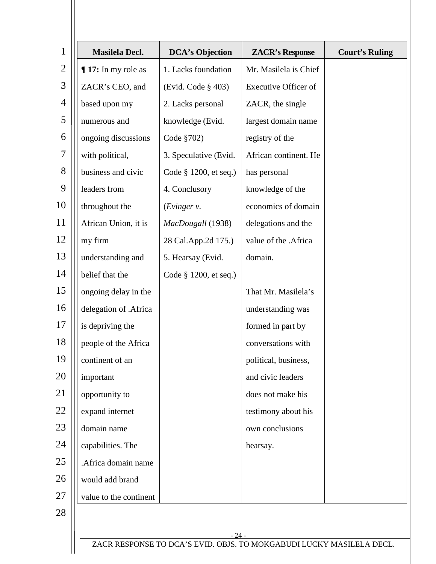| $\mathbf{1}$   | Masilela Decl.         | <b>DCA's Objection</b> | <b>ZACR's Response</b>      | <b>Court's Ruling</b> |
|----------------|------------------------|------------------------|-----------------------------|-----------------------|
| $\overline{2}$ | $\P$ 17: In my role as | 1. Lacks foundation    | Mr. Masilela is Chief       |                       |
| 3              | ZACR's CEO, and        | (Evid. Code § 403)     | <b>Executive Officer of</b> |                       |
| $\overline{4}$ | based upon my          | 2. Lacks personal      | ZACR, the single            |                       |
| 5              | numerous and           | knowledge (Evid.       | largest domain name         |                       |
| 6              | ongoing discussions    | Code §702)             | registry of the             |                       |
| $\tau$         | with political,        | 3. Speculative (Evid.  | African continent. He       |                       |
| 8              | business and civic     | Code § 1200, et seq.)  | has personal                |                       |
| 9              | leaders from           | 4. Conclusory          | knowledge of the            |                       |
| 10             | throughout the         | (Evinger v.            | economics of domain         |                       |
| 11             | African Union, it is   | MacDougall (1938)      | delegations and the         |                       |
| 12             | my firm                | 28 Cal.App.2d 175.)    | value of the .Africa        |                       |
| 13             | understanding and      | 5. Hearsay (Evid.      | domain.                     |                       |
| 14             | belief that the        | Code § 1200, et seq.)  |                             |                       |
| 15             | ongoing delay in the   |                        | That Mr. Masilela's         |                       |
| 16             | delegation of .Africa  |                        | understanding was           |                       |
| 17             | is depriving the       |                        | formed in part by           |                       |
| 18             | people of the Africa   |                        | conversations with          |                       |
| 19             | continent of an        |                        | political, business,        |                       |
| 20             | important              |                        | and civic leaders           |                       |
| 21             | opportunity to         |                        | does not make his           |                       |
| 22             | expand internet        |                        | testimony about his         |                       |
| 23             | domain name            |                        | own conclusions             |                       |
| 24             | capabilities. The      |                        | hearsay.                    |                       |
| 25             | .Africa domain name    |                        |                             |                       |
| 26             | would add brand        |                        |                             |                       |
| 27             | value to the continent |                        |                             |                       |
| 28             |                        |                        |                             |                       |

- 24 -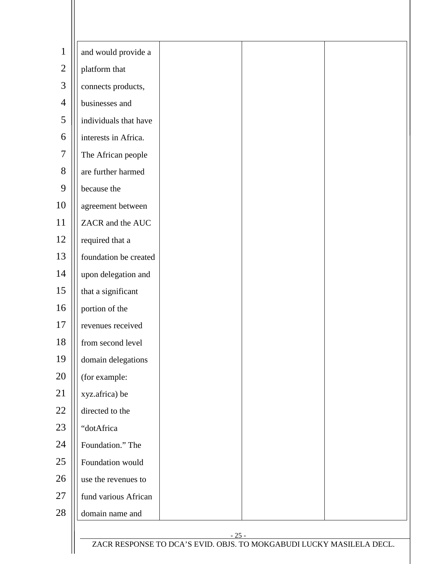| $\mathbf{1}$   | and would provide a   |        |                                                                      |  |
|----------------|-----------------------|--------|----------------------------------------------------------------------|--|
| $\overline{2}$ | platform that         |        |                                                                      |  |
| 3              | connects products,    |        |                                                                      |  |
| $\overline{4}$ | businesses and        |        |                                                                      |  |
| 5              | individuals that have |        |                                                                      |  |
| 6              | interests in Africa.  |        |                                                                      |  |
| 7              | The African people    |        |                                                                      |  |
| 8              | are further harmed    |        |                                                                      |  |
| 9              | because the           |        |                                                                      |  |
| 10             | agreement between     |        |                                                                      |  |
| 11             | ZACR and the AUC      |        |                                                                      |  |
| 12             | required that a       |        |                                                                      |  |
| 13             | foundation be created |        |                                                                      |  |
| 14             | upon delegation and   |        |                                                                      |  |
| 15             | that a significant    |        |                                                                      |  |
| 16             | portion of the        |        |                                                                      |  |
| 17             | revenues received     |        |                                                                      |  |
| 18             | from second level     |        |                                                                      |  |
| 19             | domain delegations    |        |                                                                      |  |
| 20             | (for example:         |        |                                                                      |  |
| 21             | xyz.africa) be        |        |                                                                      |  |
| 22             | directed to the       |        |                                                                      |  |
| 23             | "dotAfrica            |        |                                                                      |  |
| 24             | Foundation." The      |        |                                                                      |  |
| 25             | Foundation would      |        |                                                                      |  |
| 26             | use the revenues to   |        |                                                                      |  |
| 27             | fund various African  |        |                                                                      |  |
| 28             | domain name and       |        |                                                                      |  |
|                |                       | $-25-$ |                                                                      |  |
|                |                       |        | ZACR RESPONSE TO DCA'S EVID. OBJS. TO MOKGABUDI LUCKY MASILELA DECL. |  |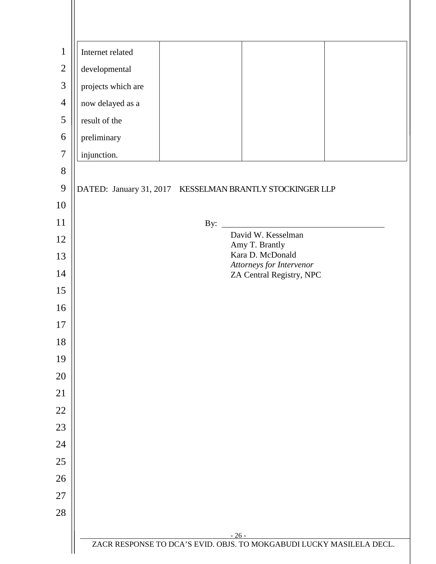| $\mathbf{1}$   | Internet related                                         |        |                                      |  |
|----------------|----------------------------------------------------------|--------|--------------------------------------|--|
| $\mathbf{2}$   | developmental                                            |        |                                      |  |
| $\mathfrak{Z}$ | projects which are                                       |        |                                      |  |
| $\overline{4}$ | now delayed as a                                         |        |                                      |  |
| $\mathfrak{S}$ | result of the                                            |        |                                      |  |
| 6              | preliminary                                              |        |                                      |  |
| $\tau$         | injunction.                                              |        |                                      |  |
| 8              |                                                          |        |                                      |  |
| 9              | DATED: January 31, 2017 KESSELMAN BRANTLY STOCKINGER LLP |        |                                      |  |
| 10             |                                                          |        |                                      |  |
| 11             |                                                          | By:    |                                      |  |
| 12             |                                                          |        | David W. Kesselman<br>Amy T. Brantly |  |
| 13             | Kara D. McDonald<br>Attorneys for Intervenor             |        |                                      |  |
| 14             |                                                          |        | ZA Central Registry, NPC             |  |
| 15             |                                                          |        |                                      |  |
| 16             |                                                          |        |                                      |  |
| 17             |                                                          |        |                                      |  |
| 18             |                                                          |        |                                      |  |
| 19             |                                                          |        |                                      |  |
| 20             |                                                          |        |                                      |  |
| 21             |                                                          |        |                                      |  |
| 22             |                                                          |        |                                      |  |
| 23             |                                                          |        |                                      |  |
| 24             |                                                          |        |                                      |  |
| 25             |                                                          |        |                                      |  |
| 26             |                                                          |        |                                      |  |
| $27\,$         |                                                          |        |                                      |  |
| $28\,$         |                                                          |        |                                      |  |
|                |                                                          | $-26-$ |                                      |  |